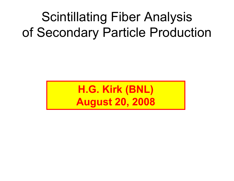## Scintillating Fiber Analysis of Secondary Particle Production

**H.G. Kirk (BNL) August 20, 2008**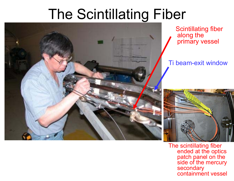# The Scintillating Fiber



Scintillating fiber along the primary vessel

#### Ti beam-exit window



The scintillating fiber ended at the optics patch panel on the side of the mercury secondary containment vessel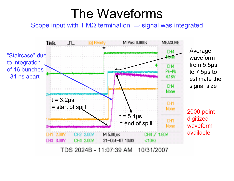#### The Waveforms

Scope input with 1 M $\Omega$  termination,  $\Rightarrow$  signal was integrated

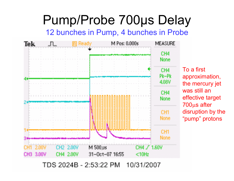#### Pump/Probe 700 μs Delay

12 bunches in Pump, 4 bunches in Probe



To a first approximation, the mercury jet was still an effective target 700 μs after disruption by the "pump" protons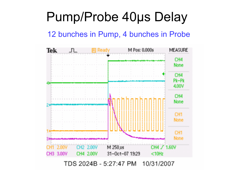#### Pump/Probe 40 μs Delay

#### 12 bunches in Pump, 4 bunches in Probe

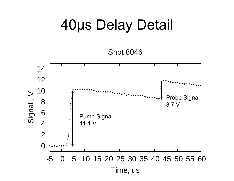## 40μs Delay Detail

Shot 8046

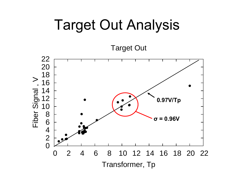## Target Out Analysis

Target Out

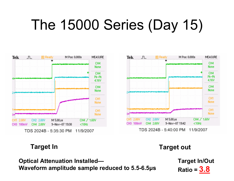# The 15000 Series (Day 15)





**Target In Target out**

**Optical Attenuation Installed— Waveform amplitude sample reduced to 5.5-6.5 μ s** **Target In/Out Ratio = 3.8**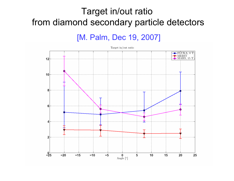#### Target in/out ratio from diamond secondary particle detectors

[M. Palm, Dec 19, 2007]